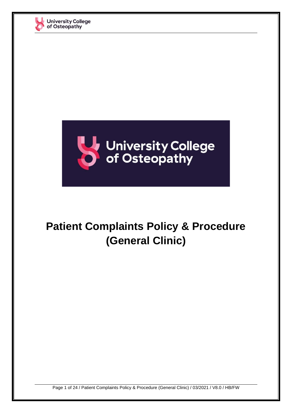



## **Patient Complaints Policy & Procedure (General Clinic)**

Page 1 of 24 / Patient Complaints Policy & Procedure (General Clinic) / 03/2021 / V8.0 / HB/FW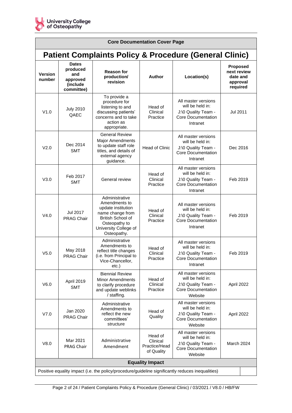

| <b>Core Documentation Cover Page</b>                                                              |                                                                       |                                                                                                                                                         |                                                    |                                                                                                         |                                                             |
|---------------------------------------------------------------------------------------------------|-----------------------------------------------------------------------|---------------------------------------------------------------------------------------------------------------------------------------------------------|----------------------------------------------------|---------------------------------------------------------------------------------------------------------|-------------------------------------------------------------|
| <b>Patient Complaints Policy &amp; Procedure (General Clinic)</b>                                 |                                                                       |                                                                                                                                                         |                                                    |                                                                                                         |                                                             |
| <b>Version</b><br>number                                                                          | <b>Dates</b><br>produced<br>and<br>approved<br>(include<br>committee) | <b>Reason for</b><br>production/<br>revision                                                                                                            | <b>Author</b>                                      | Location(s)                                                                                             | Proposed<br>next review<br>date and<br>approval<br>required |
| V1.0                                                                                              | <b>July 2010</b><br>QAEC                                              | To provide a<br>procedure for<br>listening to and<br>discussing patients'<br>concerns and to take<br>action as<br>appropriate.                          | Head of<br>Clinical<br>Practice                    | All master versions<br>will be held in:<br>J:\0 Quality Team -<br>Core Documentation<br>Intranet        | Jul 2011                                                    |
| V <sub>2.0</sub>                                                                                  | Dec 2014<br><b>SMT</b>                                                | <b>General Review</b><br><b>Major Amendments</b><br>to update staff role<br>titles, and details of<br>external agency<br>guidance.                      | <b>Head of Clinic</b>                              | All master versions<br>will be held in:<br>J:\0 Quality Team -<br><b>Core Documentation</b><br>Intranet | Dec 2016                                                    |
| V3.0                                                                                              | Feb 2017<br><b>SMT</b>                                                | General review                                                                                                                                          | Head of<br>Clinical<br>Practice                    | All master versions<br>will be held in:<br>J:\0 Quality Team -<br><b>Core Documentation</b><br>Intranet | Feb 2019                                                    |
| V4.0                                                                                              | Jul 2017<br><b>PRAG Chair</b>                                         | Administrative<br>Amendments to<br>update institution<br>name change from<br>British School of<br>Osteopathy to<br>University College of<br>Osteopathy. | Head of<br>Clinical<br>Practice                    | All master versions<br>will be held in:<br>J:\0 Quality Team -<br>Core Documentation<br>Intranet        | Feb 2019                                                    |
| V <sub>5.0</sub>                                                                                  | May 2018<br>PRAG Chair                                                | Administrative<br>Amendments to<br>reflect title changes<br>(i.e. from Principal to<br>Vice-Chancellor,<br>$etc.$ )                                     | Head of<br>Clinical<br>Practice                    | All master versions<br>will be held in:<br>J:\0 Quality Team -<br>Core Documentation<br>Intranet        | Feb 2019                                                    |
| V6.0                                                                                              | April 2019<br><b>SMT</b>                                              | <b>Biennial Review</b><br><b>Minor Amendments</b><br>to clarify procedure<br>and update weblinks<br>/ staffing.                                         | Head of<br>Clinical<br>Practice                    | All master versions<br>will be held in:<br>J:\0 Quality Team -<br><b>Core Documentation</b><br>Website  | April 2022                                                  |
| V7.0                                                                                              | Jan 2020<br><b>PRAG Chair</b>                                         | Administrative<br>Amendments to<br>reflect the new<br>committees'<br>structure                                                                          | Head of<br>Quality                                 | All master versions<br>will be held in:<br>J:\0 Quality Team -<br><b>Core Documentation</b><br>Website  | April 2022                                                  |
| V8.0                                                                                              | Mar 2021<br><b>PRAG Chair</b>                                         | Administrative<br>Amendment                                                                                                                             | Head of<br>Clinical<br>Practice/Head<br>of Quality | All master versions<br>will be held in:<br>J:\0 Quality Team -<br><b>Core Documentation</b><br>Website  | March 2024                                                  |
| <b>Equality Impact</b>                                                                            |                                                                       |                                                                                                                                                         |                                                    |                                                                                                         |                                                             |
| Positive equality impact (i.e. the policy/procedure/guideline significantly reduces inequalities) |                                                                       |                                                                                                                                                         |                                                    |                                                                                                         |                                                             |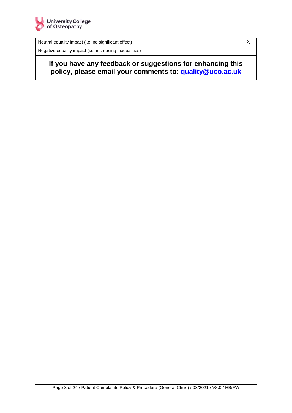

Neutral equality impact (i.e. no significant effect) Neutral equality impact (i.e. no significant effect)

Negative equality impact (i.e. increasing inequalities)

**If you have any feedback or suggestions for enhancing this policy, please email your comments to: [quality@uco.ac.uk](mailto:quality@uco.ac.uk)**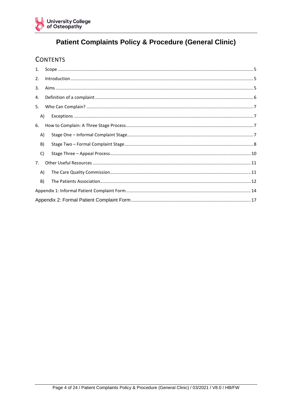

## **Patient Complaints Policy & Procedure (General Clinic)**

## **CONTENTS**

| 1.             |  |
|----------------|--|
| 2.             |  |
| 3.             |  |
| 4.             |  |
| 5.             |  |
| A)             |  |
| 6.             |  |
| A)             |  |
| B)             |  |
| C)             |  |
| 7 <sub>1</sub> |  |
| A)             |  |
| B)             |  |
|                |  |
|                |  |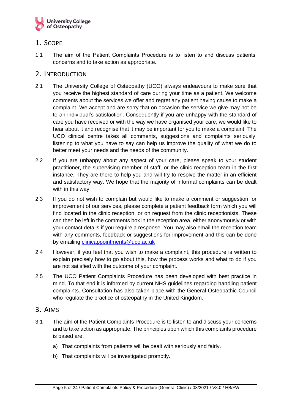

### <span id="page-4-0"></span>1. SCOPE

1.1 The aim of the Patient Complaints Procedure is to listen to and discuss patients' concerns and to take action as appropriate.

#### <span id="page-4-1"></span>2. INTRODUCTION

- 2.1 The University College of Osteopathy (UCO) always endeavours to make sure that you receive the highest standard of care during your time as a patient. We welcome comments about the services we offer and regret any patient having cause to make a complaint. We accept and are sorry that on occasion the service we give may not be to an individual's satisfaction. Consequently if you are unhappy with the standard of care you have received or with the way we have organised your care, we would like to hear about it and recognise that it may be important for you to make a complaint. The UCO clinical centre takes all comments, suggestions and complaints seriously; listening to what you have to say can help us improve the quality of what we do to better meet your needs and the needs of the community.
- 2.2 If you are unhappy about any aspect of your care, please speak to your student practitioner, the supervising member of staff, or the clinic reception team in the first instance. They are there to help you and will try to resolve the matter in an efficient and satisfactory way. We hope that the majority of informal complaints can be dealt with in this way.
- 2.3 If you do not wish to complain but would like to make a comment or suggestion for improvement of our services, please complete a patient feedback form which you will find located in the clinic reception, or on request from the clinic receptionists. These can then be left in the comments box in the reception area, either anonymously or with your contact details if you require a response. You may also email the reception team with any comments, feedback or suggestions for improvement and this can be done by emailing [clinicappointments@uco.ac.uk](mailto:clinicappointments@uco.ac.uk)
- 2.4 However, if you feel that you wish to make a complaint, this procedure is written to explain precisely how to go about this, how the process works and what to do if you are not satisfied with the outcome of your complaint.
- 2.5 The UCO Patient Complaints Procedure has been developed with best practice in mind. To that end it is informed by current NHS guidelines regarding handling patient complaints. Consultation has also taken place with the General Osteopathic Council who regulate the practice of osteopathy in the United Kingdom.

#### <span id="page-4-2"></span>3. AIMS

- 3.1 The aim of the Patient Complaints Procedure is to listen to and discuss your concerns and to take action as appropriate. The principles upon which this complaints procedure is based are:
	- a) That complaints from patients will be dealt with seriously and fairly.
	- b) That complaints will be investigated promptly.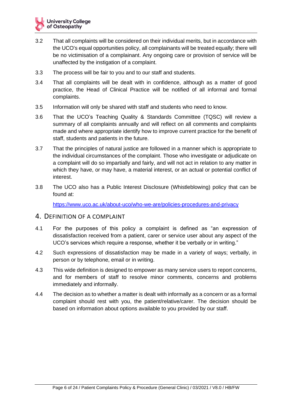- 3.2 That all complaints will be considered on their individual merits, but in accordance with the UCO's equal opportunities policy, all complainants will be treated equally; there will be no victimisation of a complainant. Any ongoing care or provision of service will be unaffected by the instigation of a complaint.
- 3.3 The process will be fair to you and to our staff and students.
- 3.4 That all complaints will be dealt with in confidence, although as a matter of good practice, the Head of Clinical Practice will be notified of all informal and formal complaints.
- 3.5 Information will only be shared with staff and students who need to know.
- 3.6 That the UCO's Teaching Quality & Standards Committee (TQSC) will review a summary of all complaints annually and will reflect on all comments and complaints made and where appropriate identify how to improve current practice for the benefit of staff, students and patients in the future.
- 3.7 That the principles of natural justice are followed in a manner which is appropriate to the individual circumstances of the complaint. Those who investigate or adjudicate on a complaint will do so impartially and fairly, and will not act in relation to any matter in which they have, or may have, a material interest, or an actual or potential conflict of interest.
- 3.8 The UCO also has a Public Interest Disclosure (Whistleblowing) policy that can be found at:

<https://www.uco.ac.uk/about-uco/who-we-are/policies-procedures-and-privacy>

#### <span id="page-5-0"></span>4. DEFINITION OF A COMPLAINT

- 4.1 For the purposes of this policy a complaint is defined as "an expression of dissatisfaction received from a patient, carer or service user about any aspect of the UCO's services which require a response, whether it be verbally or in writing."
- 4.2 Such expressions of dissatisfaction may be made in a variety of ways; verbally, in person or by telephone, email or in writing.
- 4.3 This wide definition is designed to empower as many service users to report concerns, and for members of staff to resolve minor comments, concerns and problems immediately and informally.
- 4.4 The decision as to whether a matter is dealt with informally as a concern or as a formal complaint should rest with you, the patient/relative/carer. The decision should be based on information about options available to you provided by our staff.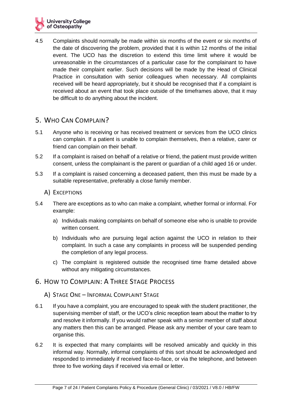4.5 Complaints should normally be made within six months of the event or six months of the date of discovering the problem, provided that it is within 12 months of the initial event. The UCO has the discretion to extend this time limit where it would be unreasonable in the circumstances of a particular case for the complainant to have made their complaint earlier. Such decisions will be made by the Head of Clinical Practice in consultation with senior colleagues when necessary. All complaints received will be heard appropriately, but it should be recognised that if a complaint is received about an event that took place outside of the timeframes above, that it may be difficult to do anything about the incident.

## <span id="page-6-0"></span>5. WHO CAN COMPLAIN?

- 5.1 Anyone who is receiving or has received treatment or services from the UCO clinics can complain. If a patient is unable to complain themselves, then a relative, carer or friend can complain on their behalf.
- 5.2 If a complaint is raised on behalf of a relative or friend, the patient must provide written consent, unless the complainant is the parent or guardian of a child aged 16 or under.
- 5.3 If a complaint is raised concerning a deceased patient, then this must be made by a suitable representative, preferably a close family member.
	- A) EXCEPTIONS
- <span id="page-6-1"></span>5.4 There are exceptions as to who can make a complaint, whether formal or informal. For example:
	- a) Individuals making complaints on behalf of someone else who is unable to provide written consent.
	- b) Individuals who are pursuing legal action against the UCO in relation to their complaint. In such a case any complaints in process will be suspended pending the completion of any legal process.
	- c) The complaint is registered outside the recognised time frame detailed above without any mitigating circumstances.

### <span id="page-6-2"></span>6. HOW TO COMPLAIN: A THREE STAGE PROCESS

- <span id="page-6-3"></span>A) STAGE ONE – INFORMAL COMPLAINT STAGE
- 6.1 If you have a complaint, you are encouraged to speak with the student practitioner, the supervising member of staff, or the UCO's clinic reception team about the matter to try and resolve it informally. If you would rather speak with a senior member of staff about any matters then this can be arranged. Please ask any member of your care team to organise this.
- 6.2 It is expected that many complaints will be resolved amicably and quickly in this informal way. Normally, informal complaints of this sort should be acknowledged and responded to immediately if received face-to-face, or via the telephone, and between three to five working days if received via email or letter.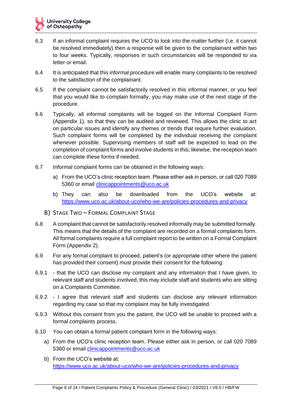- 6.3 If an informal complaint requires the UCO to look into the matter further (i.e. it cannot be resolved immediately) then a response will be given to the complainant within two to four weeks. Typically, responses in such circumstances will be responded to via letter or email.
- 6.4 It is anticipated that this informal procedure will enable many complaints to be resolved to the satisfaction of the complainant.
- 6.5 If the complaint cannot be satisfactorily resolved in this informal manner, or you feel that you would like to complain formally, you may make use of the next stage of the procedure.
- 6.6 Typically, all informal complaints will be logged on the Informal Complaint Form (Appendix 1), so that they can be audited and reviewed. This allows the clinic to act on particular issues and identify any themes or trends that require further evaluation. Such complaint forms will be completed by the individual receiving the complaint whenever possible. Supervising members of staff will be expected to lead on the completion of complaint forms and involve students in this; likewise, the reception team can complete these forms if needed.
- 6.7 Informal complaint forms can be obtained in the following ways:
	- a) From the UCO's clinic reception team. Please either ask in person, or call 020 7089 5360 or email [clinicappointments@uco.ac.uk](mailto:clinicappointments@uco.ac.uk)
	- b) They can also be downloaded from the UCO's website at: <https://www.uco.ac.uk/about-uco/who-we-are/policies-procedures-and-privacy>
	- B) STAGE TWO FORMAL COMPLAINT STAGE
- <span id="page-7-0"></span>6.8 A complaint that cannot be satisfactorily resolved informally may be submitted formally. This means that the details of the complaint are recorded on a formal complaints form. All formal complaints require a full complaint report to be written on a Formal Complaint Form (Appendix 2).
- 6.9 For any formal complaint to proceed, patient's (or appropriate other where the patient has provided their consent) must provide their consent for the following:
- 6.9.1 that the UCO can disclose my complaint and any information that I have given, to relevant staff and students involved; this may include staff and students who are sitting on a Complaints Committee.
- 6.9.2 I agree that relevant staff and students can disclose any relevant information regarding my case so that my complaint may be fully investigated.
- 6.9.3 Without this consent from you the patient, the UCO will be unable to proceed with a formal complaints process.
- 6.10 You can obtain a formal patient complaint form in the following ways:
	- a) From the UCO's clinic reception team. Please either ask in person, or call 020 7089 5360 or email [clinicappointments@uco.ac.uk](mailto:clinicappointments@uco.ac.uk)
	- b) From the UCO's website at: <https://www.uco.ac.uk/about-uco/who-we-are/policies-procedures-and-privacy>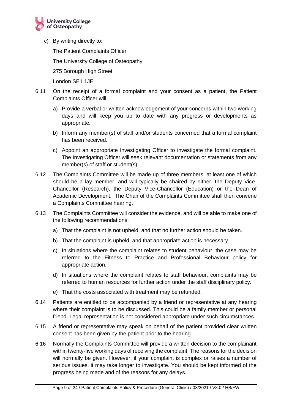c) By writing directly to:

The Patient Complaints Officer

The University College of Osteopathy

275 Borough High Street

London SE1 1JE

- 6.11 On the receipt of a formal complaint and your consent as a patient, the Patient Complaints Officer will:
	- a) Provide a verbal or written acknowledgement of your concerns within two working days and will keep you up to date with any progress or developments as appropriate.
	- b) Inform any member(s) of staff and/or students concerned that a formal complaint has been received.
	- c) Appoint an appropriate Investigating Officer to investigate the formal complaint. The Investigating Officer will seek relevant documentation or statements from any member(s) of staff or student(s).
- 6.12 The Complaints Committee will be made up of three members, at least one of which should be a lay member, and will typically be chaired by either, the Deputy Vice-Chancellor (Research), the Deputy Vice-Chancellor (Education) or the Dean of Academic Development. The Chair of the Complaints Committee shall then convene a Complaints Committee hearing.
- 6.13 The Complaints Committee will consider the evidence, and will be able to make one of the following recommendations:
	- a) That the complaint is not upheld, and that no further action should be taken.
	- b) That the complaint is upheld, and that appropriate action is necessary.
	- c) In situations where the complaint relates to student behaviour, the case may be referred to the Fitness to Practice and Professional Behaviour policy for appropriate action.
	- d) In situations where the complaint relates to staff behaviour, complaints may be referred to human resources for further action under the staff disciplinary policy.
	- e) That the costs associated with treatment may be refunded.
- 6.14 Patients are entitled to be accompanied by a friend or representative at any hearing where their complaint is to be discussed. This could be a family member or personal friend. Legal representation is not considered appropriate under such circumstances.
- 6.15 A friend or representative may speak on behalf of the patient provided clear written consent has been given by the patient prior to the hearing.
- 6.16 Normally the Complaints Committee will provide a written decision to the complainant within twenty-five working days of receiving the complaint. The reasons for the decision will normally be given. However, if your complaint is complex or raises a number of serious issues, it may take longer to investigate. You should be kept informed of the progress being made and of the reasons for any delays.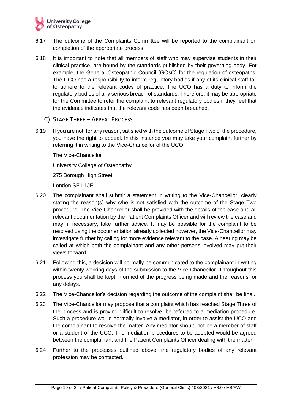- 6.17 The outcome of the Complaints Committee will be reported to the complainant on completion of the appropriate process.
- 6.18 It is important to note that all members of staff who may supervise students in their clinical practice, are bound by the standards published by their governing body. For example, the General Osteopathic Council (GOsC) for the regulation of osteopaths. The UCO has a responsibility to inform regulatory bodies if any of its clinical staff fail to adhere to the relevant codes of practice. The UCO has a duty to inform the regulatory bodies of any serious breach of standards. Therefore, it may be appropriate for the Committee to refer the complaint to relevant regulatory bodies if they feel that the evidence indicates that the relevant code has been breached.
	- C) STAGE THREE APPEAL PROCESS
- <span id="page-9-0"></span>6.19 If you are not, for any reason, satisfied with the outcome of Stage Two of the procedure, you have the right to appeal. In this instance you may take your complaint further by referring it in writing to the Vice-Chancellor of the UCO:

The Vice-Chancellor

University College of Osteopathy

275 Borough High Street

London SE1 1JE

- 6.20 The complainant shall submit a statement in writing to the Vice-Chancellor, clearly stating the reason(s) why s/he is not satisfied with the outcome of the Stage Two procedure. The Vice-Chancellor shall be provided with the details of the case and all relevant documentation by the Patient Complaints Officer and will review the case and may, if necessary, take further advice. It may be possible for the complaint to be resolved using the documentation already collected however, the Vice-Chancellor may investigate further by calling for more evidence relevant to the case. A hearing may be called at which both the complainant and any other persons involved may put their views forward.
- 6.21 Following this, a decision will normally be communicated to the complainant in writing within twenty working days of the submission to the Vice-Chancellor. Throughout this process you shall be kept informed of the progress being made and the reasons for any delays.
- 6.22 The Vice-Chancellor's decision regarding the outcome of the complaint shall be final.
- 6.23 The Vice-Chancellor may propose that a complaint which has reached Stage Three of the process and is proving difficult to resolve, be referred to a mediation procedure. Such a procedure would normally involve a mediator, in order to assist the UCO and the complainant to resolve the matter. Any mediator should not be a member of staff or a student of the UCO. The mediation procedures to be adopted would be agreed between the complainant and the Patient Complaints Officer dealing with the matter.
- 6.24 Further to the processes outlined above, the regulatory bodies of any relevant profession may be contacted.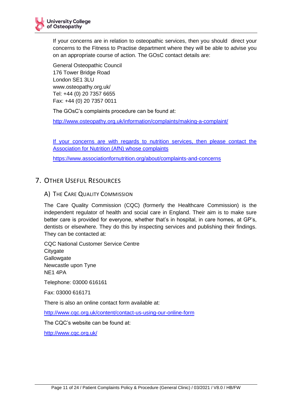If your concerns are in relation to osteopathic services, then you should direct your concerns to the Fitness to Practise department where they will be able to advise you on an appropriate course of action. The GOsC contact details are:

General Osteopathic Council 176 Tower Bridge Road London SE1 3LU www.osteopathy.org.uk/ Tel: +44 (0) 20 7357 6655 Fax: +44 (0) 20 7357 0011

The GOsC's complaints procedure can be found at:

<http://www.osteopathy.org.uk/information/complaints/making-a-complaint/>

If your concerns are with regards to nutrition services, then please contact the Association for Nutrition (AfN) whose complaints

https://www.associationfornutrition.org/about/complaints-and-concerns

## <span id="page-10-0"></span>7. OTHER USEFUL RESOURCES

#### <span id="page-10-1"></span>A) THE CARE QUALITY COMMISSION

The Care Quality Commission (CQC) (formerly the Healthcare Commission) is the independent regulator of health and social care in England. Their aim is to make sure better care is provided for everyone, whether that's in hospital, in care homes, at GP's, dentists or elsewhere. They do this by inspecting services and publishing their findings. They can be contacted at:

CQC National Customer Service Centre **Citygate Gallowgate** Newcastle upon Tyne NE1 4PA

Telephone: 03000 616161

Fax: 03000 616171

There is also an online contact form available at:

<http://www.cqc.org.uk/content/contact-us-using-our-online-form>

The CQC's website can be found at:

<http://www.cqc.org.uk/>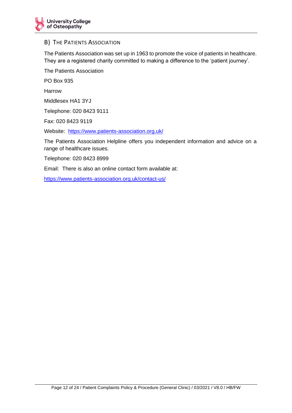#### <span id="page-11-0"></span>B) THE PATIENTS ASSOCIATION

The Patients Association was set up in 1963 to promote the voice of patients in healthcare. They are a registered charity committed to making a difference to the 'patient journey'.

The Patients Association

PO Box 935

Harrow

Middlesex HA1 3YJ

Telephone: 020 8423 9111

Fax: 020 8423 9119

Website: <https://www.patients-association.org.uk/>

The Patients Association Helpline offers you independent information and advice on a range of healthcare issues.

Telephone: 020 8423 8999

Email: There is also an online contact form available at:

<https://www.patients-association.org.uk/contact-us/>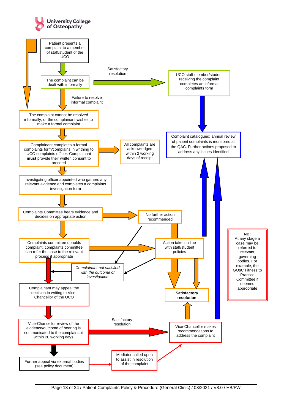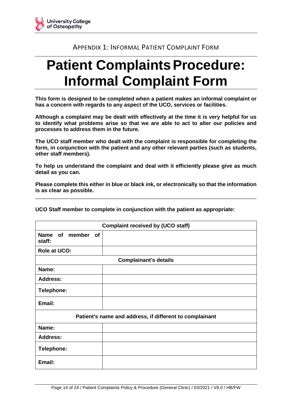## APPENDIX 1: INFORMAL PATIENT COMPLAINT FORM

# <span id="page-13-0"></span>**Patient Complaints Procedure: Informal Complaint Form**

**This form is designed to be completed when a patient makes an informal complaint or has a concern with regards to any aspect of the UCO, services or facilities.** 

**Although a complaint may be dealt with effectively at the time it is very helpful for us to identify what problems arise so that we are able to act to alter our policies and processes to address them in the future.** 

**The UCO staff member who dealt with the complaint is responsible for completing the form, in conjunction with the patient and any other relevant parties (such as students, other staff members).**

**To help us understand the complaint and deal with it efficiently please give as much detail as you can.** 

**Please complete this either in blue or black ink, or electronically so that the information is as clear as possible.**

**UCO Staff member to complete in conjunction with the patient as appropriate:**

| <b>Complaint received by (UCO staff)</b> |                                                         |  |  |  |
|------------------------------------------|---------------------------------------------------------|--|--|--|
| Name of member<br>of<br>staff:           |                                                         |  |  |  |
| <b>Role at UCO:</b>                      |                                                         |  |  |  |
|                                          | <b>Complainant's details</b>                            |  |  |  |
| Name:                                    |                                                         |  |  |  |
| <b>Address:</b>                          |                                                         |  |  |  |
| Telephone:                               |                                                         |  |  |  |
| Email:                                   |                                                         |  |  |  |
|                                          | Patient's name and address, if different to complainant |  |  |  |
| Name:                                    |                                                         |  |  |  |
| <b>Address:</b>                          |                                                         |  |  |  |
| <b>Telephone:</b>                        |                                                         |  |  |  |
| Email:                                   |                                                         |  |  |  |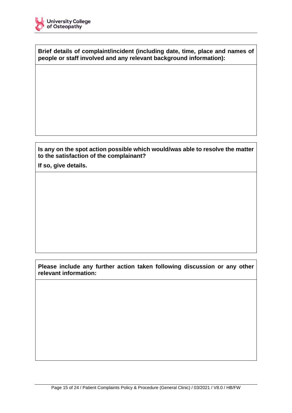**Brief details of complaint/incident (including date, time, place and names of people or staff involved and any relevant background information):**

#### **Is any on the spot action possible which would/was able to resolve the matter to the satisfaction of the complainant?**

**If so, give details.** 

**Please include any further action taken following discussion or any other relevant information:**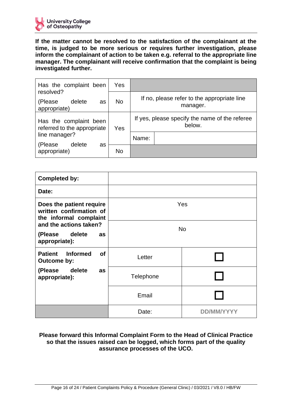

**If the matter cannot be resolved to the satisfaction of the complainant at the time, is judged to be more serious or requires further investigation, please inform the complainant of action to be taken e.g. referral to the appropriate line manager. The complainant will receive confirmation that the complaint is being investigated further.**

| Has the complaint been<br>resolved?                   | Yes       |                                                          |  |
|-------------------------------------------------------|-----------|----------------------------------------------------------|--|
| delete<br>(Please<br>as<br>appropriate)               | <b>No</b> | If no, please refer to the appropriate line<br>manager.  |  |
| Has the complaint been<br>referred to the appropriate | Yes       | If yes, please specify the name of the referee<br>below. |  |
| line manager?<br>delete                               |           | Name:                                                    |  |
| (Please<br>as<br>appropriate)                         | <b>No</b> |                                                          |  |

| <b>Completed by:</b>                                                          |           |  |  |
|-------------------------------------------------------------------------------|-----------|--|--|
| Date:                                                                         |           |  |  |
| Does the patient require<br>written confirmation of<br>the informal complaint | Yes       |  |  |
| and the actions taken?                                                        | <b>No</b> |  |  |
| (Please delete<br>as<br>appropriate):                                         |           |  |  |
| <b>Informed</b><br><b>Patient</b><br><b>of</b><br>Outcome by:                 | Letter    |  |  |
| delete<br>(Please<br>as<br>appropriate):                                      | Telephone |  |  |
|                                                                               | Email     |  |  |
|                                                                               | Date:     |  |  |

#### **Please forward this Informal Complaint Form to the Head of Clinical Practice so that the issues raised can be logged, which forms part of the quality assurance processes of the UCO.**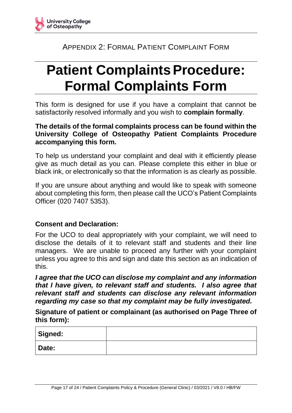<span id="page-16-0"></span>

## APPENDIX 2: FORMAL PATIENT COMPLAINT FORM

# **Patient Complaints Procedure: Formal Complaints Form**

This form is designed for use if you have a complaint that cannot be satisfactorily resolved informally and you wish to **complain formally**.

## **The details of the formal complaints process can be found within the University College of Osteopathy Patient Complaints Procedure accompanying this form.**

To help us understand your complaint and deal with it efficiently please give as much detail as you can. Please complete this either in blue or black ink, or electronically so that the information is as clearly as possible.

If you are unsure about anything and would like to speak with someone about completing this form, then please call the UCO's Patient Complaints Officer (020 7407 5353).

## **Consent and Declaration:**

For the UCO to deal appropriately with your complaint, we will need to disclose the details of it to relevant staff and students and their line managers. We are unable to proceed any further with your complaint unless you agree to this and sign and date this section as an indication of this.

*I agree that the UCO can disclose my complaint and any information that I have given, to relevant staff and students. I also agree that relevant staff and students can disclose any relevant information regarding my case so that my complaint may be fully investigated.*

**Signature of patient or complainant (as authorised on Page Three of this form):** 

| Signed: |  |
|---------|--|
| Date:   |  |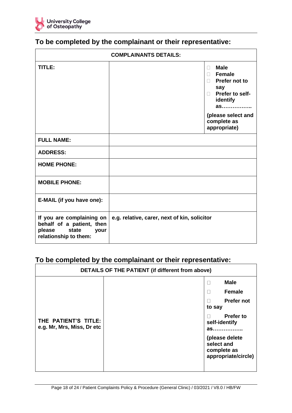

| <b>COMPLAINANTS DETAILS:</b>                                                                               |                                              |                                                                                                                                                                         |  |
|------------------------------------------------------------------------------------------------------------|----------------------------------------------|-------------------------------------------------------------------------------------------------------------------------------------------------------------------------|--|
| TITLE:                                                                                                     |                                              | <b>Male</b><br>n.<br><b>Female</b><br>$\Box$<br>$\Box$ Prefer not to<br>say<br>□ Prefer to self-<br>identify<br>as<br>(please select and<br>complete as<br>appropriate) |  |
| <b>FULL NAME:</b>                                                                                          |                                              |                                                                                                                                                                         |  |
| <b>ADDRESS:</b>                                                                                            |                                              |                                                                                                                                                                         |  |
| <b>HOME PHONE:</b>                                                                                         |                                              |                                                                                                                                                                         |  |
| <b>MOBILE PHONE:</b>                                                                                       |                                              |                                                                                                                                                                         |  |
| E-MAIL (if you have one):                                                                                  |                                              |                                                                                                                                                                         |  |
| If you are complaining on<br>behalf of a patient, then<br>please<br>state<br>your<br>relationship to them: | e.g. relative, carer, next of kin, solicitor |                                                                                                                                                                         |  |

## **To be completed by the complainant or their representative:**

## **To be completed by the complainant or their representative:**

| DETAILS OF THE PATIENT (if different from above)   |  |                                                           |                                                                                                                                        |
|----------------------------------------------------|--|-----------------------------------------------------------|----------------------------------------------------------------------------------------------------------------------------------------|
| THE PATIENT'S TITLE:<br>e.g. Mr, Mrs, Miss, Dr etc |  | Г<br>Г<br>E<br>to say<br>Г<br>self-identify<br>select and | <b>Male</b><br><b>Female</b><br><b>Prefer not</b><br><b>Prefer to</b><br>$a$ s<br>(please delete<br>complete as<br>appropriate/circle) |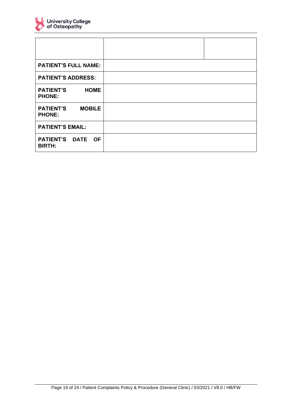

| <b>PATIENT'S FULL NAME:</b>                        |  |
|----------------------------------------------------|--|
| <b>PATIENT'S ADDRESS:</b>                          |  |
| <b>PATIENT'S</b><br><b>HOME</b><br><b>PHONE:</b>   |  |
| <b>PATIENT'S</b><br><b>MOBILE</b><br><b>PHONE:</b> |  |
| <b>PATIENT'S EMAIL:</b>                            |  |
| PATIENT'S DATE OF<br><b>BIRTH:</b>                 |  |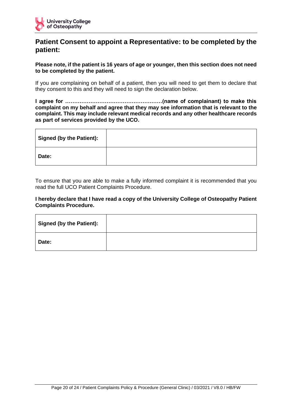

## **Patient Consent to appoint a Representative: to be completed by the patient:**

**Please note, if the patient is 16 years of age or younger, then this section does not need to be completed by the patient.**

If you are complaining on behalf of a patient, then you will need to get them to declare that they consent to this and they will need to sign the declaration below.

**I agree for ………………………………………………(name of complainant) to make this complaint on my behalf and agree that they may see information that is relevant to the complaint. This may include relevant medical records and any other healthcare records as part of services provided by the UCO.**

| <b>Signed (by the Patient):</b> |  |
|---------------------------------|--|
| Date:                           |  |

To ensure that you are able to make a fully informed complaint it is recommended that you read the full UCO Patient Complaints Procedure.

#### **I hereby declare that I have read a copy of the University College of Osteopathy Patient Complaints Procedure.**

| <b>Signed (by the Patient):</b> |  |
|---------------------------------|--|
| Date:                           |  |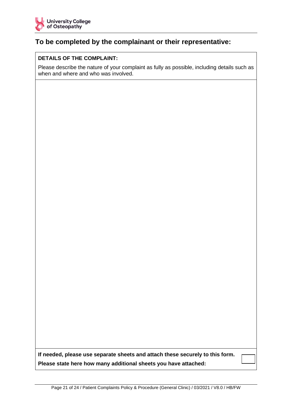

## **To be completed by the complainant or their representative:**

#### **DETAILS OF THE COMPLAINT:**

Please describe the nature of your complaint as fully as possible, including details such as when and where and who was involved.

**If needed, please use separate sheets and attach these securely to this form. Please state here how many additional sheets you have attached:**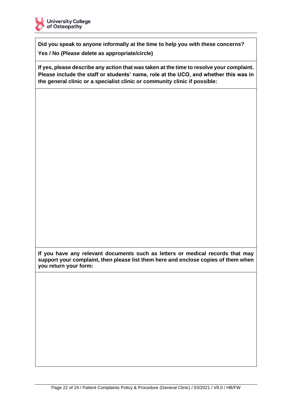

**Did you speak to anyone informally at the time to help you with these concerns? Yes / No (Please delete as appropriate/circle)**

**If yes, please describe any action that was taken at the time to resolve your complaint. Please include the staff or students' name, role at the UCO, and whether this was in the general clinic or a specialist clinic or community clinic if possible:**

**If you have any relevant documents such as letters or medical records that may support your complaint, then please list them here and enclose copies of them when you return your form:**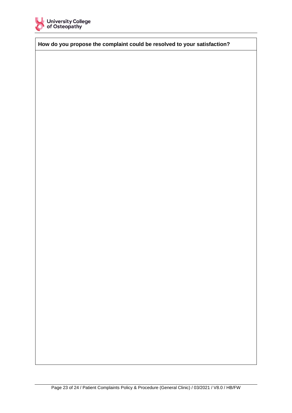

**How do you propose the complaint could be resolved to your satisfaction?**